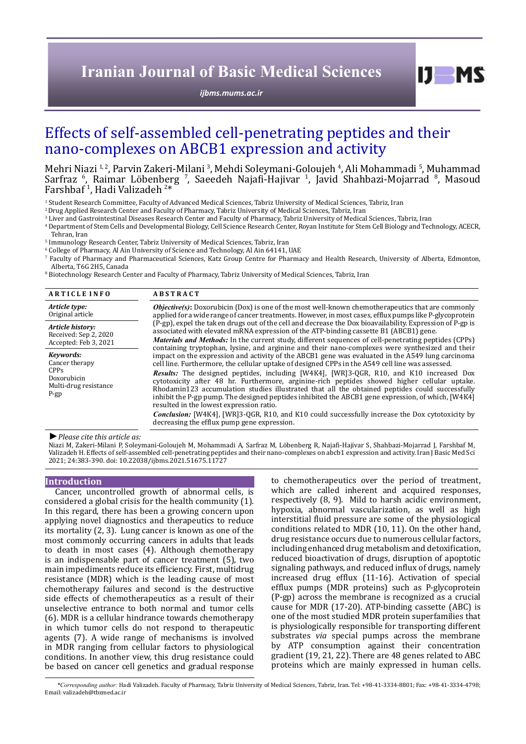# **Iranian Journal of Basic Medical Sciences**

*[ijbms.mums.ac.ir](http://ijbms.mums.ac.ir)*

 $I$   $I$   $M$   $S$ 

# Effects of self-assembled cell-penetrating peptides and their nano-complexes on ABCB1 expression and activity

Mehri Niazi <sup>1,2</sup>, Parvin Zakeri-Milani <sup>3</sup>, Mehdi Soleymani-Goloujeh <sup>4</sup>, Ali Mohammadi <sup>5</sup>, Muhammad Sarfraz <sup>6</sup>, Raimar Löbenberg <sup>7</sup>, Saeedeh Najafi-Hajivar <sup>1</sup>, Javid Shahbazi-Mojarrad <sup>8</sup>, Masoud Farshbaf 1 , Hadi Valizadeh 2 \*

1 Student Research Committee, Faculty of Advanced Medical Sciences, Tabriz University of Medical Sciences, Tabriz, Iran

2 Drug Applied Research Center and Faculty of Pharmacy, Tabriz University of Medical Sciences, Tabriz, Iran

 $\,^3$  Liver and Gastrointestinal Diseases Research Center and Faculty of Pharmacy, Tabriz University of Medical Sciences, Tabriz, Iran

4 Department of Stem Cells and Developmental Biology, Cell Science Research Center, Royan Institute for Stem Cell Biology and Technology, ACECR,

Tehran, Iran

5 Immunology Research Center, Tabriz University of Medical Sciences, Tabriz, Iran

 $^{\rm 6}$  College of Pharmacy, Al Ain University of Science and Technology, Al Ain 64141, UAE

7 Faculty of Pharmacy and Pharmaceutical Sciences, Katz Group Centre for Pharmacy and Health Research, University of Alberta, Edmonton,

Alberta, T6G 2H5, Canada 8 Biotechnology Research Center and Faculty of Pharmacy, Tabriz University of Medical Sciences, Tabriz, Iran

| <b>ARTICLE INFO</b>                                                                          | <b>ABSTRACT</b>                                                                                                                                                                                                                                                                                                                                                                                                                                                                                                                                                                                                                                                                                                                                                                                                                                                                                                        |  |  |  |  |
|----------------------------------------------------------------------------------------------|------------------------------------------------------------------------------------------------------------------------------------------------------------------------------------------------------------------------------------------------------------------------------------------------------------------------------------------------------------------------------------------------------------------------------------------------------------------------------------------------------------------------------------------------------------------------------------------------------------------------------------------------------------------------------------------------------------------------------------------------------------------------------------------------------------------------------------------------------------------------------------------------------------------------|--|--|--|--|
| Article type:                                                                                | <b><i>Objective(s)</i></b> : Doxorubicin (Dox) is one of the most well-known chemotherapeutics that are commonly                                                                                                                                                                                                                                                                                                                                                                                                                                                                                                                                                                                                                                                                                                                                                                                                       |  |  |  |  |
| Original article                                                                             | applied for a wide range of cancer treatments. However, in most cases, efflux pumps like P-glycoprotein                                                                                                                                                                                                                                                                                                                                                                                                                                                                                                                                                                                                                                                                                                                                                                                                                |  |  |  |  |
| Article history:                                                                             | (P-gp), expel the taken drugs out of the cell and decrease the Dox bioavailability. Expression of P-gp is                                                                                                                                                                                                                                                                                                                                                                                                                                                                                                                                                                                                                                                                                                                                                                                                              |  |  |  |  |
| Received: Sep 2, 2020                                                                        | associated with elevated mRNA expression of the ATP-binding cassette B1 (ABCB1) gene.                                                                                                                                                                                                                                                                                                                                                                                                                                                                                                                                                                                                                                                                                                                                                                                                                                  |  |  |  |  |
| Accepted: Feb 3, 2021                                                                        | <i>Materials and Methods:</i> In the current study, different sequences of cell-penetrating peptides (CPPs)                                                                                                                                                                                                                                                                                                                                                                                                                                                                                                                                                                                                                                                                                                                                                                                                            |  |  |  |  |
| Kevwords:<br>Cancer therapy<br><b>CPPs</b><br>Doxorubicin<br>Multi-drug resistance<br>$P-gp$ | containing tryptophan, lysine, and arginine and their nano-complexes were synthesized and their<br>impact on the expression and activity of the ABCB1 gene was evaluated in the A549 lung carcinoma<br>cell line. Furthermore, the cellular uptake of designed CPPs in the A549 cell line was assessed.<br><b>Results:</b> The designed peptides, including [W4K4], [WR]3-QGR, R10, and K10 increased Dox<br>cytotoxicity after 48 hr. Furthermore, arginine-rich peptides showed higher cellular uptake.<br>Rhodamin123 accumulation studies illustrated that all the obtained peptides could successfully<br>inhibit the P-gp pump. The designed peptides inhibited the ABCB1 gene expression, of which, [W4K4]<br>resulted in the lowest expression ratio.<br><b>Conclusion:</b> [W4K4], [WR]3-OGR, R10, and K10 could successfully increase the Dox cytotoxicity by<br>decreasing the efflux pump gene expression. |  |  |  |  |

#### *►Please cite this article as:*

Niazi M, Zakeri-Milani P, Soleymani-Goloujeh M, Mohammadi A, Sarfraz M, Löbenberg R, Najafi-Hajivar S, Shahbazi-Mojarrad J, Farshbaf M, Valizadeh H. Effects of self-assembled cell-penetrating peptides and their nano-complexes on abcb1 expression and activity. Iran J Basic Med Sci 2021; 24:383-390. doi: 10.22038/ijbms.2021.51675.11727

#### **Introduction**

Cancer, uncontrolled growth of abnormal cells, is considered a global crisis for the health community (1). In this regard, there has been a growing concern upon applying novel diagnostics and therapeutics to reduce its mortality (2, 3). Lung cancer is known as one of the most commonly occurring cancers in adults that leads to death in most cases (4). Although chemotherapy is an indispensable part of cancer treatment (5), two main impediments reduce its efficiency. First, multidrug resistance (MDR) which is the leading cause of most chemotherapy failures and second is the destructive side effects of chemotherapeutics as a result of their unselective entrance to both normal and tumor cells (6). MDR is a cellular hindrance towards chemotherapy in which tumor cells do not respond to therapeutic agents (7). A wide range of mechanisms is involved in MDR ranging from cellular factors to physiological conditions. In another view, this drug resistance could be based on cancer cell genetics and gradual response

to chemotherapeutics over the period of treatment, which are called inherent and acquired responses, respectively (8, 9). Mild to harsh acidic environment, hypoxia, abnormal vascularization, as well as high interstitial fluid pressure are some of the physiological conditions related to MDR (10, 11). On the other hand, drug resistance occurs due to numerous cellular factors, including enhanced drug metabolism and detoxification, reduced bioactivation of drugs, disruption of apoptotic signaling pathways, and reduced influx of drugs, namely increased drug efflux (11-16). Activation of special efflux pumps (MDR proteins) such as P-glycoprotein (P-gp) across the membrane is recognized as a crucial cause for MDR (17-20). ATP-binding cassette (ABC) is one of the most studied MDR protein superfamilies that is physiologically responsible for transporting different substrates *via* special pumps across the membrane by ATP consumption against their concentration gradient (19, 21, 22). There are 48 genes related to ABC proteins which are mainly expressed in human cells.

*\*Corresponding author:* Hadi Valizadeh. Faculty of Pharmacy, Tabriz University of Medical Sciences, Tabriz, Iran. Tel: +98-41-3334-8801; Fax: +98-41-3334-4798; Email: valizadeh@tbzmed.ac.ir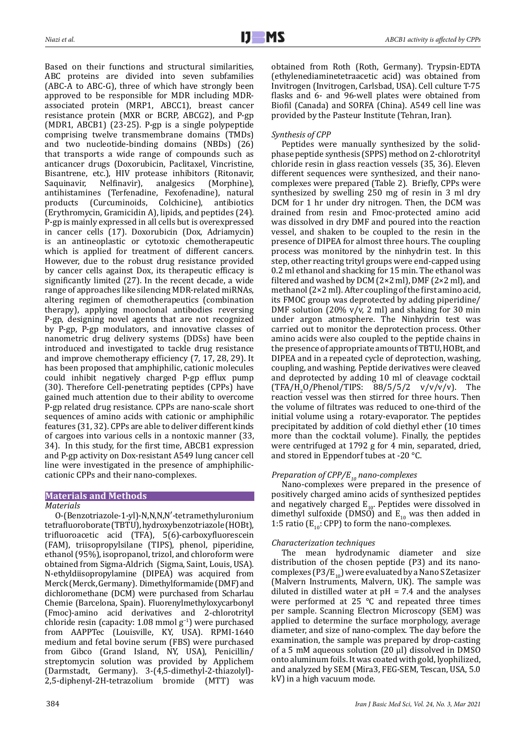Based on their functions and structural similarities, ABC proteins are divided into seven subfamilies (ABC-A to ABC-G), three of which have strongly been approved to be responsible for MDR including MDRassociated protein (MRP1, ABCC1), breast cancer resistance protein (MXR or BCRP, ABCG2), and P-gp (MDR1, ABCB1) (23-25). P-gp is a single polypeptide comprising twelve transmembrane domains (TMDs) and two nucleotide-binding domains (NBDs) (26) that transports a wide range of compounds such as anticancer drugs (Doxorubicin, Paclitaxel, Vincristine, Bisantrene, etc.), HIV protease inhibitors (Ritonavir, Saquinavir, Nelfinavir), analgesics (Morphine), Saquinavir, Nelfinavir), analgesics (Morphine), antihistamines (Terfenadine, Fexofenadine), natural products (Curcuminoids, Colchicine), antibiotics (Erythromycin, Gramicidin A), lipids, and peptides (24). P-gp is mainly expressed in all cells but is overexpressed in cancer cells (17). Doxorubicin (Dox, Adriamycin) is an antineoplastic or cytotoxic chemotherapeutic which is applied for treatment of different cancers. However, due to the robust drug resistance provided by cancer cells against Dox, its therapeutic efficacy is significantly limited (27). In the recent decade, a wide range of approaches like silencing MDR-related miRNAs, altering regimen of chemotherapeutics (combination therapy), applying monoclonal antibodies reversing P-gp, designing novel agents that are not recognized by P-gp, P-gp modulators, and innovative classes of nanometric drug delivery systems (DDSs) have been introduced and investigated to tackle drug resistance and improve chemotherapy efficiency (7, 17, 28, 29). It has been proposed that amphiphilic, cationic molecules could inhibit negatively charged P-gp efflux pump (30). Therefore Cell-penetrating peptides (CPPs) have gained much attention due to their ability to overcome P-gp related drug resistance. CPPs are nano-scale short sequences of amino acids with cationic or amphiphilic features (31, 32). CPPs are able to deliver different kinds of cargoes into various cells in a nontoxic manner (33, 34). In this study, for the first time, ABCB1 expression and P-gp activity on Dox-resistant A549 lung cancer cell line were investigated in the presence of amphiphiliccationic CPPs and their nano-complexes.

# **Materials and Methods**

## *Materials*

O-(Benzotriazole-1-yl)-N,N,N,N′-tetramethyluronium tetrafluoroborate (TBTU), hydroxybenzotriazole (HOBt), trifluoroacetic acid (TFA), 5(6)-carboxyfluorescein (FAM), triisopropylsilane (TIPS), phenol, piperidine, ethanol (95%), isopropanol, trizol, and chloroform were obtained from Sigma-Aldrich (Sigma, Saint, Louis, USA). N-ethyldiisopropylamine (DIPEA) was acquired from Merck (Merck, Germany). Dimethylformamide (DMF) and dichloromethane (DCM) were purchased from Scharlau Chemie (Barcelona, Spain). Fluorenylmethyloxycarbonyl (Fmoc)-amino acid derivatives and 2-chlorotrityl chloride resin (capacity: 1.08 mmol g−1) were purchased from AAPPTec (Louisville, KY, USA). RPMI-1640 medium and fetal bovine serum (FBS) were purchased from Gibco (Grand Island, NY, USA), Penicillin/ streptomycin solution was provided by Applichem (Darmstadt, Germany). 3-(4,5-dimethyl-2-thiazolyl)- 2,5-diphenyl-2H-tetrazolium bromide (MTT) was obtained from Roth (Roth, Germany). Trypsin-EDTA (ethylenediaminetetraacetic acid) was obtained from Invitrogen (Invitrogen, Carlsbad, USA). Cell culture T-75 flasks and 6- and 96-well plates were obtained from Biofil (Canada) and SORFA (China). A549 cell line was provided by the Pasteur Institute (Tehran, Iran).

# *Synthesis of CPP*

Peptides were manually synthesized by the solidphase peptide synthesis (SPPS) method on 2-chlorotrityl chloride resin in glass reaction vessels (35, 36). Eleven different sequences were synthesized, and their nanocomplexes were prepared (Table 2). Briefly, CPPs were synthesized by swelling 250 mg of resin in 3 ml dry DCM for 1 hr under dry nitrogen. Then, the DCM was drained from resin and Fmoc-protected amino acid was dissolved in dry DMF and poured into the reaction vessel, and shaken to be coupled to the resin in the presence of DIPEA for almost three hours. The coupling process was monitored by the ninhydrin test. In this step, other reacting trityl groups were end-capped using 0.2 ml ethanol and shacking for 15 min. The ethanol was filtered and washed by DCM (2×2 ml), DMF (2×2 ml), and methanol (2×2 ml). After coupling of the first amino acid, its FMOC group was deprotected by adding piperidine/ DMF solution (20%  $v/v$ , 2 ml) and shaking for 30 min under argon atmosphere. The Ninhydrin test was carried out to monitor the deprotection process. Other amino acids were also coupled to the peptide chains in the presence of appropriate amounts of TBTU, HOBt, and DIPEA and in a repeated cycle of deprotection, washing, coupling, and washing. Peptide derivatives were cleaved and deprotected by adding 10 ml of cleavage cocktail  $(TFA/H<sub>2</sub>O/Phenol/TIPS: 88/5/5/2 \ v/V/V/V)$ . The reaction vessel was then stirred for three hours. Then the volume of filtrates was reduced to one-third of the initial volume using a rotary-evaporator. The peptides precipitated by addition of cold diethyl ether (10 times more than the cocktail volume). Finally, the peptides were centrifuged at 1792 g for 4 min, separated, dried, and stored in Eppendorf tubes at -20 °C.

# *Preparation of CPP/E<sub>10</sub> nano-complexes*

Nano-complexes were prepared in the presence of positively charged amino acids of synthesized peptides and negatively charged  $E_{10}$ . Peptides were dissolved in dimethyl sulfoxide (DMSO) and  $E_{10}$  was then added in 1:5 ratio ( $E_{10}$ : CPP) to form the nano-complexes.

# *Characterization techniques*

The mean hydrodynamic diameter and size distribution of the chosen peptide (P3) and its nanocomplexes (P3/E<sub>10</sub>) were evaluated by a Nano S Zetasizer (Malvern Instruments, Malvern, UK). The sample was diluted in distilled water at  $pH = 7.4$  and the analyses were performed at 25 °C and repeated three times per sample. Scanning Electron Microscopy (SEM) was applied to determine the surface morphology, average diameter, and size of nano-complex. The day before the examination, the sample was prepared by drop-casting of a 5 mM aqueous solution (20 µl) dissolved in DMSO onto aluminum foils. It was coated with gold, lyophilized, and analyzed by SEM (Mira3, FEG-SEM, Tescan, USA, 5.0 kV) in a high vacuum mode.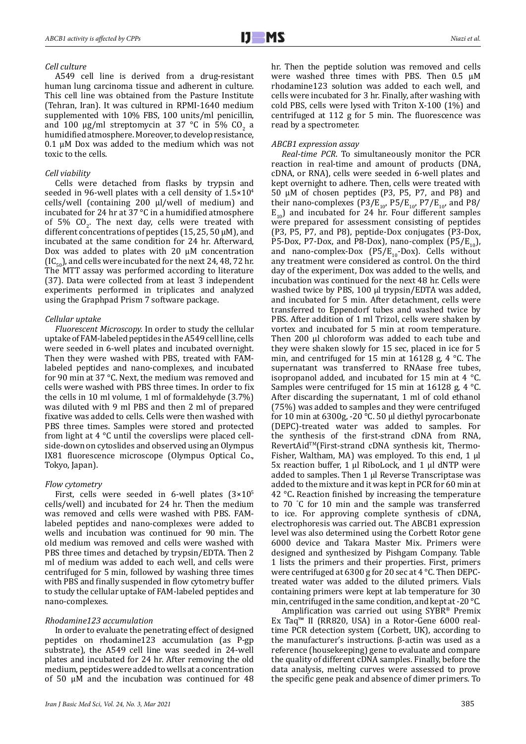#### *Cell culture*

A549 cell line is derived from a drug-resistant human lung carcinoma tissue and adherent in culture. This cell line was obtained from the Pasture Institute (Tehran, Iran). It was cultured in RPMI-1640 medium supplemented with 10% FBS, 100 units/ml penicillin, and 100  $\mu$ g/ml streptomycin at 37 °C in 5% CO<sub>2</sub> a humidified atmosphere. Moreover, to develop resistance, 0.1 µM Dox was added to the medium which was not toxic to the cells.

# *Cell viability*

Cells were detached from flasks by trypsin and seeded in 96-well plates with a cell density of 1.5×10<sup>4</sup> cells/well (containing 200 μl/well of medium) and incubated for 24 hr at 37 °C in a humidified atmosphere of 5%  $CO_2$ . The next day, cells were treated with different concentrations of peptides (15, 25, 50  $\mu$ M), and incubated at the same condition for 24 hr. Afterward, Dox was added to plates with 20  $μ$ M concentration  $(IC_{\epsilon_{0}})$ , and cells were incubated for the next 24, 48, 72 hr. The MTT assay was performed according to literature (37). Data were collected from at least 3 independent experiments performed in triplicates and analyzed using the Graphpad Prism 7 software package.

## *Cellular uptake*

*Fluorescent Microscopy.* In order to study the cellular uptake of FAM-labeled peptides in the A549 cell line, cells were seeded in 6-well plates and incubated overnight. Then they were washed with PBS, treated with FAMlabeled peptides and nano-complexes, and incubated for 90 min at 37 °C. Next, the medium was removed and cells were washed with PBS three times. In order to fix the cells in 10 ml volume, 1 ml of formaldehyde (3.7%) was diluted with 9 ml PBS and then 2 ml of prepared fixative was added to cells. Cells were then washed with PBS three times. Samples were stored and protected from light at 4 °C until the coverslips were placed cellside-down on cytoslides and observed using an Olympus IX81 fluorescence microscope (Olympus Optical Co., Tokyo, Japan).

## *Flow cytometry*

First, cells were seeded in 6-well plates  $(3\times10^{5}$ cells/well) and incubated for 24 hr. Then the medium was removed and cells were washed with PBS. FAMlabeled peptides and nano-complexes were added to wells and incubation was continued for 90 min. The old medium was removed and cells were washed with PBS three times and detached by trypsin/EDTA. Then 2 ml of medium was added to each well, and cells were centrifuged for 5 min, followed by washing three times with PBS and finally suspended in flow cytometry buffer to study the cellular uptake of FAM-labeled peptides and nano-complexes.

## *Rhodamine123 accumulation*

In order to evaluate the penetrating effect of designed peptides on rhodamine123 accumulation (as P-gp substrate), the A549 cell line was seeded in 24-well plates and incubated for 24 hr. After removing the old medium, peptides were added to wells at a concentration of 50  $\mu$ M and the incubation was continued for 48 hr. Then the peptide solution was removed and cells were washed three times with PBS. Then 0.5 µM rhodamine123 solution was added to each well, and cells were incubated for 3 hr. Finally, after washing with cold PBS, cells were lysed with Triton X-100 (1%) and centrifuged at 112 g for 5 min. The fluorescence was read by a spectrometer.

#### *ABCB1 expression assay*

*Real-time PCR*. To simultaneously monitor the PCR reaction in real-time and amount of products (DNA, cDNA, or RNA), cells were seeded in 6-well plates and kept overnight to adhere. Then, cells were treated with 50 µM of chosen peptides (P3, P5, P7, and P8) and their nano-complexes  $(P3/E_{10}$ ,  $P5/E_{10}$ ,  $P7/E_{10}$ , and P8/  $E_{10}$ ) and incubated for 24 hr. Four different samples were prepared for assessment consisting of peptides (P3, P5, P7, and P8), peptide-Dox conjugates (P3-Dox, P5-Dox, P7-Dox, and P8-Dox), nano-complex (P5/ $E_{10}$ ), and nano-complex-Dox ( $\overline{PS/E}_{10}$ -Dox). Cells without any treatment were considered as control. On the third day of the experiment, Dox was added to the wells, and incubation was continued for the next 48 hr. Cells were washed twice by PBS, 100 ul trypsin/EDTA was added. and incubated for 5 min. After detachment, cells were transferred to Eppendorf tubes and washed twice by PBS. After addition of 1 ml Trizol, cells were shaken by vortex and incubated for 5 min at room temperature. Then 200 µl chloroform was added to each tube and they were shaken slowly for 15 sec, placed in ice for 5 min, and centrifuged for 15 min at 16128 g, 4 °C. The supernatant was transferred to RNAase free tubes, isopropanol added, and incubated for 15 min at 4 °C. Samples were centrifuged for 15 min at 16128 g, 4 °C. After discarding the supernatant, 1 ml of cold ethanol (75%) was added to samples and they were centrifuged for 10 min at 6300g, -20 °C. 50 µl diethyl pyrocarbonate (DEPC)-treated water was added to samples. For the synthesis of the first-strand cDNA from RNA, RevertAid™(First-strand cDNA synthesis kit, Thermo-Fisher, Waltham, MA) was employed. To this end, 1 μl 5x reaction buffer, 1 μl RiboLock, and 1 μl dNTP were added to samples. Then 1 μl Reverse Transcriptase was added to the mixture and it was kept in PCR for 60 min at 42 °C**.** Reaction finished by increasing the temperature to 70 ° C for 10 min and the sample was transferred to ice. For approving complete synthesis of cDNA, electrophoresis was carried out. The ABCB1 expression level was also determined using the Corbett Rotor gene 6000 device and Takara Master Mix. Primers were designed and synthesized by Pishgam Company. Table 1 lists the primers and their properties. First, primers were centrifuged at 6300 g for 20 sec at 4 °C. Then DEPCtreated water was added to the diluted primers. Vials containing primers were kept at lab temperature for 30 min, centrifuged in the same condition, and kept at -20 °C.

Amplification was carried out using SYBR® Premix Ex Taq™ II (RR820, USA) in a Rotor-Gene 6000 realtime PCR detection system (Corbett, UK), according to the manufacturer's instructions. β-actin was used as a reference (housekeeping) gene to evaluate and compare the quality of different cDNA samples. Finally, before the data analysis, melting curves were assessed to prove the specific gene peak and absence of dimer primers. To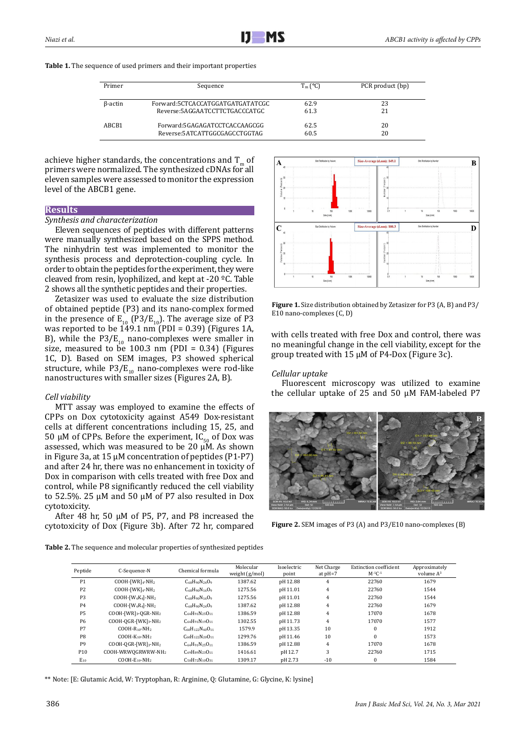| Table 1. The sequence of used primers and their important properties |
|----------------------------------------------------------------------|
|                                                                      |

| Primer         | Sequence                         | $T_m$ (°C) | PCR product (bp) |
|----------------|----------------------------------|------------|------------------|
| $\beta$ -actin | Forward:5CTCACCATGGATGATGATATCGC | 62.9       | 23               |
|                | Reverse:5AGGAATCCTTCTGACCCATGC   | 61.3       | 21               |
| ABCB1          | Forward:5GAGAGATCCTCACCAAGCGG    | 62.5       | 20               |
|                | Reverse:5ATCATTGGCGAGCCTGGTAG    | 60.5       | 20               |

achieve higher standards, the concentrations and  $T_m$  of primers were normalized. The synthesized cDNAs for all eleven samples were assessed to monitor the expression level of the ABCB1 gene.

# **Results**

## *Synthesis and characterization*

Eleven sequences of peptides with different patterns were manually synthesized based on the SPPS method. The ninhydrin test was implemented to monitor the synthesis process and deprotection-coupling cycle. In order to obtain the peptides for the experiment, they were cleaved from resin, lyophilized, and kept at -20 ºC. Table 2 shows all the synthetic peptides and their properties.

Zetasizer was used to evaluate the size distribution of obtained peptide (P3) and its nano-complex formed in the presence of  $E_{10}$  (P3/E<sub>10</sub>). The average size of P3 was reported to be  $149.1$  nm (PDI = 0.39) (Figures 1A, B), while the  $P3/E_{10}$  nano-complexes were smaller in size, measured to be 100.3 nm (PDI =  $0.34$ ) (Figures 1C, D). Based on SEM images, P3 showed spherical structure, while  $P3/E_{10}$  nano-complexes were rod-like nanostructures with smaller sizes (Figures 2A, B).

## *Cell viability*

MTT assay was employed to examine the effects of CPPs on Dox cytotoxicity against A549 Dox-resistant cells at different concentrations including 15, 25, and 50  $\mu$ M of CPPs. Before the experiment, IC<sub>50</sub> of Dox was assessed, which was measured to be 20  $\mu$ M. As shown in Figure 3a, at 15 µM concentration of peptides (P1-P7) and after 24 hr, there was no enhancement in toxicity of Dox in comparison with cells treated with free Dox and control, while P8 significantly reduced the cell viability to 52.5%. 25 µM and 50 µM of P7 also resulted in Dox cytotoxicity.

After 48 hr, 50  $\mu$ M of P5, P7, and P8 increased the cytotoxicity of Dox (Figure 3b). After 72 hr, compared



**Figure 1.** Size distribution obtained by Zetasizer for P3 (A, B) and P3/ E10 nano-complexes (C, D)

with cells treated with free Dox and control, there was no meaningful change in the cell viability, except for the group treated with 15 µM of P4-Dox (Figure 3c).

#### *Cellular uptake*

Fluorescent microscopy was utilized to examine the cellular uptake of 25 and 50 µM FAM-labeled P7



**Figure 2.** SEM images of P3 (A) and P3/E10 nano-complexes (B)

**Table 2.** The sequence and molecular properties of synthesized peptides

| Peptide         | C-Sequence-N                                   | Chemical formula            | Molecular<br>weight $(g/mol)$ | Isoelectric<br>point | Net Charge<br>at $pH=7$ | <b>Extinction coefficient</b><br>$M-1C-1$ | Approximately<br>volume $A^3$ |
|-----------------|------------------------------------------------|-----------------------------|-------------------------------|----------------------|-------------------------|-------------------------------------------|-------------------------------|
| P <sub>1</sub>  | $COOH$ - $[WR]_4$ -NH <sub>2</sub>             | $C68H90N24O9$               | 1387.62                       | pH 12.88             | 4                       | 22760                                     | 1679                          |
| P <sub>2</sub>  | $COOH$ - $[WK]_4$ -NH <sub>2</sub>             | $C_{68}H_{90}N_{16}O_9$     | 1275.56                       | pH 11.01             | $\overline{4}$          | 22760                                     | 1544                          |
| P <sub>3</sub>  | $COOH - [W_4K_4] - NH_2$                       | $C_{68}H_{90}N_{16}O_9$     | 1275.56                       | pH 11.01             | 4                       | 22760                                     | 1544                          |
| P <sub>4</sub>  | $COOH - [W_4R_4] - NH_2$                       | $C68H90N24O9$               | 1387.62                       | pH 12.88             | 4                       | 22760                                     | 1679                          |
| P <sub>5</sub>  | $COOH$ - $[WR]_3$ -QGR-NH <sub>2</sub>         | $C_{64}H_{91}N_{25}O_{11}$  | 1386.59                       | pH 12.88             | $\overline{4}$          | 17070                                     | 1678                          |
| P <sub>6</sub>  | $COOH-OGR$ -[WK] <sub>3</sub> -NH <sub>2</sub> | $C_{64}H_{91}N_{19}O_{11}$  | 1302.55                       | pH 11.73             | $\overline{4}$          | 17070                                     | 1577                          |
| P7              | $COOH-R_{10}-NH2$                              | $C_{60}H_{122}N_{40}O_{11}$ | 1579.9                        | pH 13.35             | 10                      | $\Omega$                                  | 1912                          |
| P <sub>8</sub>  | $COOH-K10 - NH2$                               | $C_{60}H_{122}N_{20}O_{11}$ | 1299.76                       | pH 11.46             | 10                      | $\theta$                                  | 1573                          |
| P <sub>9</sub>  | $COOH-OGR$ -[WR] <sub>3</sub> -NH <sub>2</sub> | $C_{64}H_{91}N_{25}O_{11}$  | 1386.59                       | pH 12.88             | 4                       | 17070                                     | 1678                          |
| P <sub>10</sub> | COOH-WRWOGRWRW-NH2                             | $C_{69}H_{89}N_{23}O_{11}$  | 1416.61                       | pH 12.7              | 3                       | 22760                                     | 1715                          |
| $E_{10}$        | $COOH-E_{10}-NH2$                              | $C_{50}H_{72}N_{10}O_{31}$  | 1309.17                       | pH 2.73              | $-10$                   | $\Omega$                                  | 1584                          |

\*\* Note: [E: Glutamic Acid, W: Tryptophan, R: Arginine, Q: Glutamine, G: Glycine, K: lysine]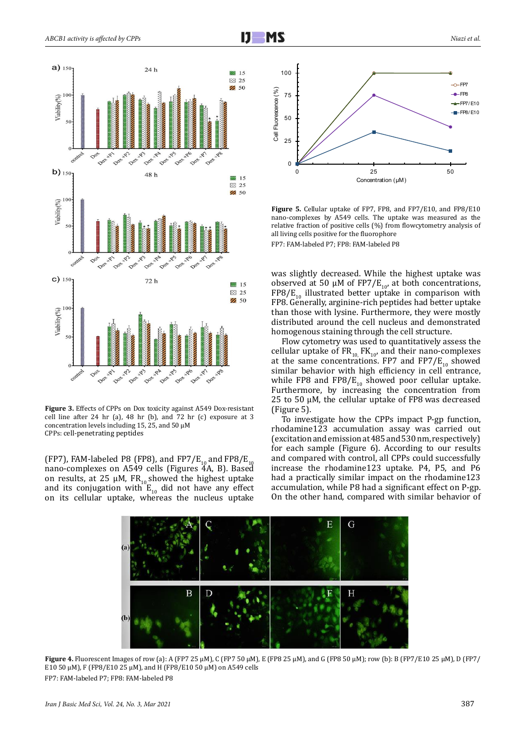

**Figure 3.** Effects of CPPs on Dox toxicity against A549 Dox-resistant cell line after 24 hr (a), 48 hr (b), and 72 hr (c) exposure at 3 concentration levels including 15, 25, and 50  $\mu$ M CPPs: cell-penetrating peptides

(FP7), FAM-labeled P8 (FP8), and FP7/E<sub>10</sub> and FP8/E<sub>10</sub> nano-complexes on A549 cells (Figures 4A, B). Based on results, at 25  $\mu$ M, FR<sub>10</sub> showed the highest uptake and its conjugation with  $E_{10}$  did not have any effect on its cellular uptake, whereas the nucleus uptake



**Figure 5.** Cellular uptake of FP7, FP8, and FP7/E10, and FP8/E10 nano-complexes by A549 cells. The uptake was measured as the relative fraction of positive cells (%) from flowcytometry analysis of all living cells positive for the fluorophore FP7: FAM-labeled P7; FP8: FAM-labeled P8

was slightly decreased. While the highest uptake was observed at 50  $\mu$ M of FP7/E<sub>10</sub>, at both concentrations, FP8/E<sub>10</sub> illustrated better uptake in comparison with FP8. Generally, arginine-rich peptides had better uptake than those with lysine. Furthermore, they were mostly distributed around the cell nucleus and demonstrated homogenous staining through the cell structure.

Flow cytometry was used to quantitatively assess the cellular uptake of  $FR_{10}$ ,  $FR_{10}$ , and their nano-complexes at the same concentrations. FP7 and  $FPT/E_{10}$  showed similar behavior with high efficiency in cell entrance, while FP8 and FP8/ $E_{10}$  showed poor cellular uptake. Furthermore, by increasing the concentration from 25 to 50 µM, the cellular uptake of FP8 was decreased (Figure 5).

To investigate how the CPPs impact P-gp function, rhodamine123 accumulation assay was carried out (excitation and emission at 485 and 530 nm, respectively) for each sample (Figure 6). According to our results and compared with control, all CPPs could successfully increase the rhodamine123 uptake. P4, P5, and P6 had a practically similar impact on the rhodamine123 accumulation, while P8 had a significant effect on P-gp. On the other hand, compared with similar behavior of



**Figure 4.** Fluorescent Images of row (a): A (FP7 25 µM), C (FP7 50 µM), E (FP8 25 µM), and G (FP8 50 µM); row (b): B (FP7/E10 25 µM), D (FP7/ E10 50 µM), F (FP8/E10 25 µM), and H (FP8/E10 50 µM) on A549 cells FP7: FAM-labeled P7; FP8: FAM-labeled P8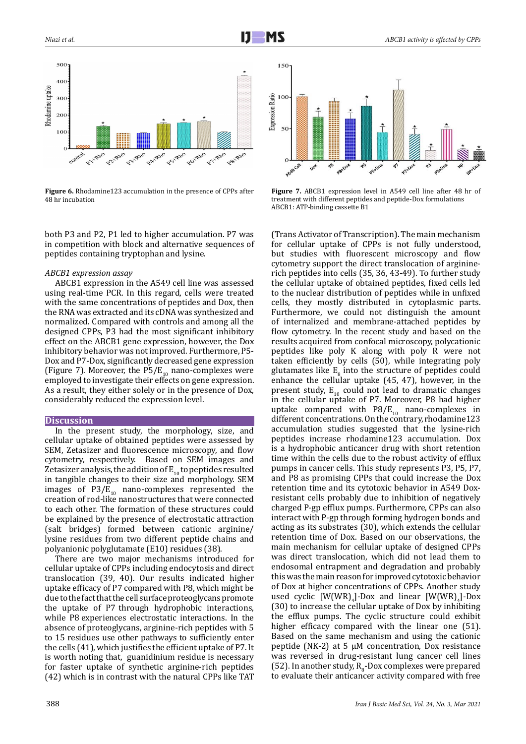

**Figure 6.** Rhodamine123 accumulation in the presence of CPPs after 48 hr incubation

both P3 and P2, P1 led to higher accumulation. P7 was in competition with block and alternative sequences of peptides containing tryptophan and lysine.

#### *ABCB1 expression assay*

ABCB1 expression in the A549 cell line was assessed using real-time PCR. In this regard, cells were treated with the same concentrations of peptides and Dox, then the RNA was extracted and its cDNA was synthesized and normalized. Compared with controls and among all the designed CPPs, P3 had the most significant inhibitory effect on the ABCB1 gene expression, however, the Dox inhibitory behavior was not improved. Furthermore, P5- Dox and P7-Dox, significantly decreased gene expression (Figure 7). Moreover, the P5/ $E_{10}$  nano-complexes were employed to investigate their effects on gene expression. As a result, they either solely or in the presence of Dox, considerably reduced the expression level.

#### **Discussion**

In the present study, the morphology, size, and cellular uptake of obtained peptides were assessed by SEM, Zetasizer and fluorescence microscopy, and flow cytometry, respectively. Based on SEM images and Zetasizer analysis, the addition of  $E_{10}$  to peptides resulted in tangible changes to their size and morphology. SEM images of  $P3/E_{10}$  nano-complexes represented the creation of rod-like nanostructures that were connected to each other. The formation of these structures could be explained by the presence of electrostatic attraction (salt bridges) formed between cationic arginine/ lysine residues from two different peptide chains and polyanionic polyglutamate (E10) residues (38).

There are two major mechanisms introduced for cellular uptake of CPPs including endocytosis and direct translocation (39, 40). Our results indicated higher uptake efficacy of P7 compared with P8, which might be due to the fact that the cell surface proteoglycans promote the uptake of P7 through hydrophobic interactions, while P8 experiences electrostatic interactions. In the absence of proteoglycans, arginine-rich peptides with 5 to 15 residues use other pathways to sufficiently enter the cells (41), which justifies the efficient uptake of P7. It is worth noting that, guanidinium residue is necessary for faster uptake of synthetic arginine-rich peptides (42) which is in contrast with the natural CPPs like TAT



**Figure 7.** ABCB1 expression level in A549 cell line after 48 hr of treatment with different peptides and peptide-Dox formulations ABCB1: ATP-binding cassette B1

(Trans Activator of Transcription). The main mechanism for cellular uptake of CPPs is not fully understood, but studies with fluorescent microscopy and flow cytometry support the direct translocation of argininerich peptides into cells (35, 36, 43-49). To further study the cellular uptake of obtained peptides, fixed cells led to the nuclear distribution of peptides while in unfixed cells, they mostly distributed in cytoplasmic parts. Furthermore, we could not distinguish the amount of internalized and membrane-attached peptides by flow cytometry. In the recent study and based on the results acquired from confocal microscopy, polycationic peptides like poly K along with poly R were not taken efficiently by cells (50), while integrating poly glutamates like  $E_8$  into the structure of peptides could enhance the cellular uptake (45, 47), however, in the present study,  $E_{10}$  could not lead to dramatic changes in the cellular uptake of P7. Moreover, P8 had higher uptake compared with  $P8/E_{10}$  nano-complexes in different concentrations. On the contrary, rhodamine123 accumulation studies suggested that the lysine-rich peptides increase rhodamine123 accumulation. Dox is a hydrophobic anticancer drug with short retention time within the cells due to the robust activity of efflux pumps in cancer cells. This study represents P3, P5, P7, and P8 as promising CPPs that could increase the Dox retention time and its cytotoxic behavior in A549 Doxresistant cells probably due to inhibition of negatively charged P-gp efflux pumps. Furthermore, CPPs can also interact with P-gp through forming hydrogen bonds and acting as its substrates (30), which extends the cellular retention time of Dox. Based on our observations, the main mechanism for cellular uptake of designed CPPs was direct translocation, which did not lead them to endosomal entrapment and degradation and probably this was the main reason for improved cytotoxic behavior of Dox at higher concentrations of CPPs. Another study used cyclic  $[W(WR)_4]$ -Dox and linear  $[W(WR)_4]$ -Dox (30) to increase the cellular uptake of Dox by inhibiting the efflux pumps. The cyclic structure could exhibit higher efficacy compared with the linear one (51). Based on the same mechanism and using the cationic peptide (NK-2) at 5  $\mu$ M concentration, Dox resistance was reversed in drug-resistant lung cancer cell lines (52). In another study,  $R_8$ -Dox complexes were prepared to evaluate their anticancer activity compared with free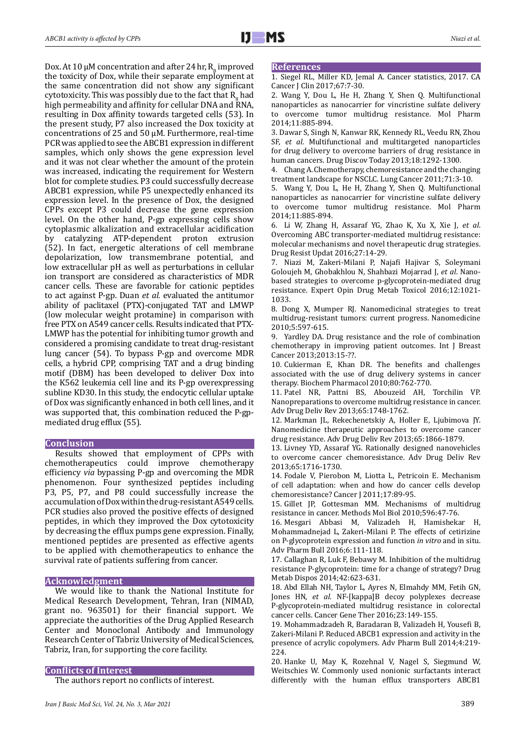Dox. At 10  $\mu$ M concentration and after 24 hr,  $R_g$  improved the toxicity of Dox, while their separate employment at the same concentration did not show any significant cytotoxicity. This was possibly due to the fact that  $R_g$  had high permeability and affinity for cellular DNA and RNA, resulting in Dox affinity towards targeted cells (53). In the present study, P7 also increased the Dox toxicity at concentrations of 25 and 50 µM. Furthermore, real-time PCR was applied to see the ABCB1 expression in different samples, which only shows the gene expression level and it was not clear whether the amount of the protein was increased, indicating the requirement for Western blot for complete studies. P3 could successfully decrease ABCB1 expression, while P5 unexpectedly enhanced its expression level. In the presence of Dox, the designed CPPs except P3 could decrease the gene expression level. On the other hand, P-gp expressing cells show cytoplasmic alkalization and extracellular acidification by catalyzing ATP-dependent proton extrusion (52). In fact, energetic alterations of cell membrane depolarization, low transmembrane potential, and low extracellular pH as well as perturbations in cellular ion transport are considered as characteristics of MDR cancer cells. These are favorable for cationic peptides to act against P-gp. Duan *et al.* evaluated the antitumor ability of paclitaxel (PTX)-conjugated TAT and LMWP (low molecular weight protamine) in comparison with free PTX on A549 cancer cells. Results indicated that PTX-LMWP has the potential for inhibiting tumor growth and considered a promising candidate to treat drug-resistant lung cancer (54). To bypass P-gp and overcome MDR cells, a hybrid CPP, comprising TAT and a drug binding motif (DBM) has been developed to deliver Dox into the K562 leukemia cell line and its P-gp overexpressing subline KD30. In this study, the endocytic cellular uptake of Dox was significantly enhanced in both cell lines, and it was supported that, this combination reduced the P-gpmediated drug efflux (55).

#### **Conclusion**

Results showed that employment of CPPs with chemotherapeutics could improve chemotherapy efficiency *via* bypassing P-gp and overcoming the MDR phenomenon. Four synthesized peptides including P3, P5, P7, and P8 could successfully increase the accumulation of Dox within the drug-resistant A549 cells. PCR studies also proved the positive effects of designed peptides, in which they improved the Dox cytotoxicity by decreasing the efflux pumps gene expression. Finally, mentioned peptides are presented as effective agents to be applied with chemotherapeutics to enhance the survival rate of patients suffering from cancer.

#### **Acknowledgment**

We would like to thank the National Institute for Medical Research Development, Tehran, Iran (NIMAD, grant no. 963501) for their financial support. We appreciate the authorities of the Drug Applied Research Center and Monoclonal Antibody and Immunology Research Center of Tabriz University of Medical Sciences, Tabriz, Iran, for supporting the core facility.

#### **Conflicts of Interest**

The authors report no conflicts of interest.

#### **References**

1. Siegel RL, Miller KD, Jemal A. Cancer statistics, 2017. CA Cancer J Clin 2017;67:7-30.

2. Wang Y, Dou L, He H, Zhang Y, Shen Q. Multifunctional nanoparticles as nanocarrier for vincristine sulfate delivery to overcome tumor multidrug resistance. Mol Pharm 2014;11:885-894.

3. Dawar S, Singh N, Kanwar RK, Kennedy RL, Veedu RN, Zhou SF, *et al*. Multifunctional and multitargeted nanoparticles for drug delivery to overcome barriers of drug resistance in human cancers. Drug Discov Today 2013;18:1292-1300.

4. Chang A. Chemotherapy, chemoresistance and the changing treatment landscape for NSCLC. Lung Cancer 2011;71:3-10.

5. Wang Y, Dou L, He H, Zhang Y, Shen Q. Multifunctional nanoparticles as nanocarrier for vincristine sulfate delivery to overcome tumor multidrug resistance. Mol Pharm 2014;11:885-894.

6. Li W, Zhang H, Assaraf YG, Zhao K, Xu X, Xie J, *et al*. Overcoming ABC transporter-mediated multidrug resistance: molecular mechanisms and novel therapeutic drug strategies. Drug Resist Updat 2016;27:14-29.

7. Niazi M, Zakeri-Milani P, Najafi Hajivar S, Soleymani Goloujeh M, Ghobakhlou N, Shahbazi Mojarrad J, *et al*. Nanobased strategies to overcome p-glycoprotein-mediated drug resistance. Expert Opin Drug Metab Toxicol 2016;12:1021- 1033.

8. Dong X, Mumper RJ. Nanomedicinal strategies to treat multidrug-resistant tumors: current progress. Nanomedicine 2010;5:597-615.

9. Yardley DA. Drug resistance and the role of combination chemotherapy in improving patient outcomes. Int J Breast Cancer 2013;2013:15-??.

10. Cukierman E, Khan DR. The benefits and challenges associated with the use of drug delivery systems in cancer therapy. Biochem Pharmacol 2010;80:762-770.

11. Patel NR, Pattni BS, Abouzeid AH, Torchilin VP. Nanopreparations to overcome multidrug resistance in cancer. Adv Drug Deliv Rev 2013;65:1748-1762.

12. Markman JL, Rekechenetskiy A, Holler E, Ljubimova JY. Nanomedicine therapeutic approaches to overcome cancer drug resistance. Adv Drug Deliv Rev 2013;65:1866-1879.

13. Livney YD, Assaraf YG. Rationally designed nanovehicles to overcome cancer chemoresistance. Adv Drug Deliv Rev 2013;65:1716-1730.

14. Fodale V, Pierobon M, Liotta L, Petricoin E. Mechanism of cell adaptation: when and how do cancer cells develop chemoresistance? Cancer J 2011;17:89-95.

15. Gillet JP, Gottesman MM. Mechanisms of multidrug resistance in cancer. Methods Mol Biol 2010;596:47-76.

16. Mesgari Abbasi M, Valizadeh H, Hamishekar H, Mohammadnejad L, Zakeri-Milani P. The effects of cetirizine on P-glycoprotein expression and function *in vitro* and in situ. Adv Pharm Bull 2016;6:111-118.

17. Callaghan R, Luk F, Bebawy M. Inhibition of the multidrug resistance P-glycoprotein: time for a change of strategy? Drug Metab Dispos 2014;42:623-631.

18. Abd Ellah NH, Taylor L, Ayres N, Elmahdy MM, Fetih GN, Jones HN, *et al*. NF-[kappa]B decoy polyplexes decrease P-glycoprotein-mediated multidrug resistance in colorectal cancer cells. Cancer Gene Ther 2016;23:149-155.

19. Mohammadzadeh R, Baradaran B, Valizadeh H, Yousefi B, Zakeri-Milani P. Reduced ABCB1 expression and activity in the presence of acrylic copolymers. Adv Pharm Bull 2014;4:219- 224.

20. Hanke U, May K, Rozehnal V, Nagel S, Siegmund W, Weitschies W. Commonly used nonionic surfactants interact differently with the human efflux transporters ABCB1